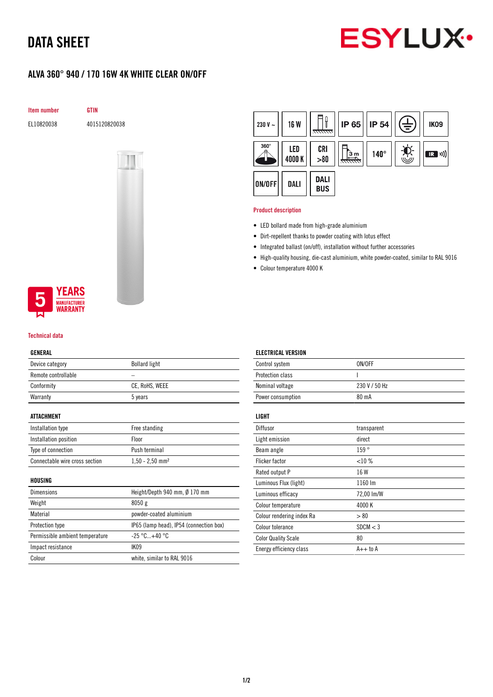# DATA SHEET



## ALVA 360° 940 / 170 16W 4K WHITE CLEAR ON/OFF

Item number GTIN

EL10820038 4015120820038



### **YEARS NUFACTURER** WARRANTY

#### Technical data

#### GENERAL

| Device category     | <b>Bollard light</b> |
|---------------------|----------------------|
| Remote controllable |                      |
| Conformity          | CE, RoHS, WEEE       |
| Warranty            | 5 years              |
|                     |                      |

#### ATTACHMENT

| Installation type              | Free standing                 |
|--------------------------------|-------------------------------|
| Installation position          | <b>Floor</b>                  |
| Type of connection             | Push terminal                 |
| Connectable wire cross section | $1,50 - 2,50$ mm <sup>2</sup> |

#### HOUSING

| Height/Depth 940 mm, Ø 170 mm           |
|-----------------------------------------|
| 8050g                                   |
| powder-coated aluminium                 |
| IP65 (lamp head), IP54 (connection box) |
| $-25\degree$ C+40 $\degree$ C           |
| IK <sub>09</sub>                        |
| white, similar to RAL 9016              |
|                                         |



#### Product description

- LED bollard made from high-grade aluminium
- Dirt-repellent thanks to powder coating with lotus effect
- Integrated ballast (on/off), installation without further accessories
- High-quality housing, die-cast aluminium, white powder-coated, similar to RAL 9016
- Colour temperature 4000 K

| <b>ELECTRICAL VERSION</b>  |               |
|----------------------------|---------------|
| Control system             | ON/OFF        |
| Protection class           | ı             |
| Nominal voltage            | 230 V / 50 Hz |
| Power consumption          | 80 mA         |
| LIGHT                      |               |
| Diffusor                   | transparent   |
| Light emission             | direct        |
| Beam angle                 | 159°          |
| Flicker factor             | <10%          |
| Rated output P             | 16 W          |
| Luminous Flux (light)      | 1160 lm       |
| Luminous efficacy          | 72,00 lm/W    |
| Colour temperature         | 4000 K        |
| Colour rendering index Ra  | > 80          |
| Colour tolerance           | SDCM < 3      |
| <b>Color Quality Scale</b> | 80            |
| Energy efficiency class    | $A++$ to $A$  |
|                            |               |